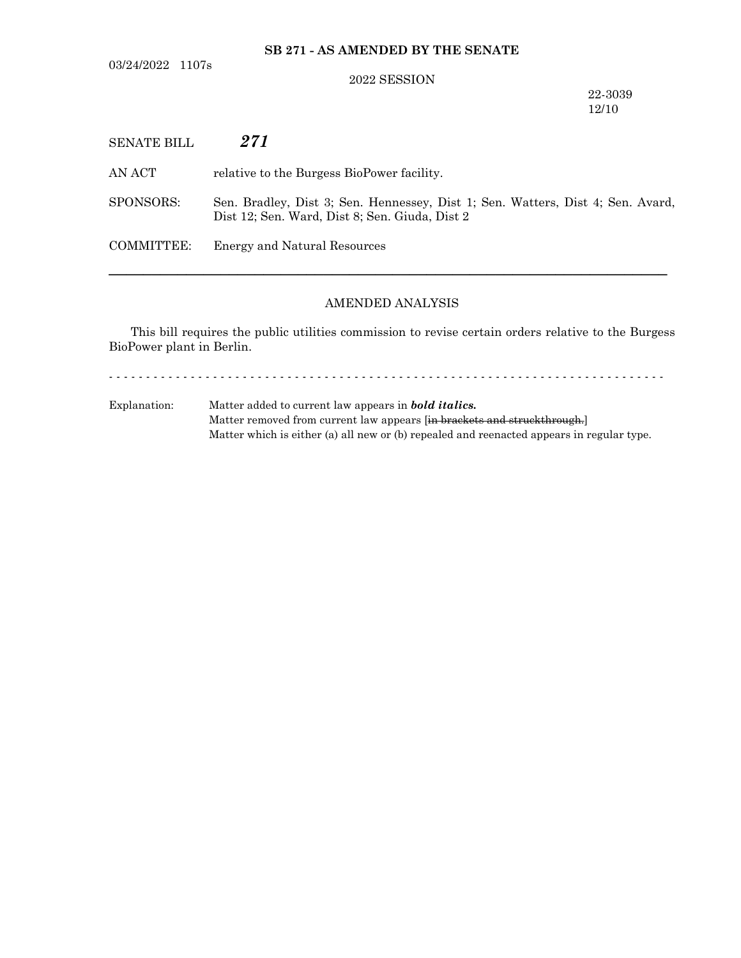03/24/2022 1107s

## **SB 271 - AS AMENDED BY THE SENATE**

#### 2022 SESSION

22-3039 12/10

| <b>SENATE BILL</b> | 271                                                                                                                               |
|--------------------|-----------------------------------------------------------------------------------------------------------------------------------|
| AN ACT             | relative to the Burgess BioPower facility.                                                                                        |
| SPONSORS:          | Sen. Bradley, Dist 3; Sen. Hennessey, Dist 1; Sen. Watters, Dist 4; Sen. Avard,<br>Dist 12; Sen. Ward, Dist 8; Sen. Giuda, Dist 2 |
| COMMITTEE:         | Energy and Natural Resources                                                                                                      |
|                    |                                                                                                                                   |

# AMENDED ANALYSIS

This bill requires the public utilities commission to revise certain orders relative to the Burgess BioPower plant in Berlin.

- - - - - - - - - - - - - - - - - - - - - - - - - - - - - - - - - - - - - - - - - - - - - - - - - - - - - - - - - - - - - - - - - - - - - - - - - - -

Explanation: Matter added to current law appears in *bold italics.* Matter removed from current law appears [in brackets and struckthrough.] Matter which is either (a) all new or (b) repealed and reenacted appears in regular type.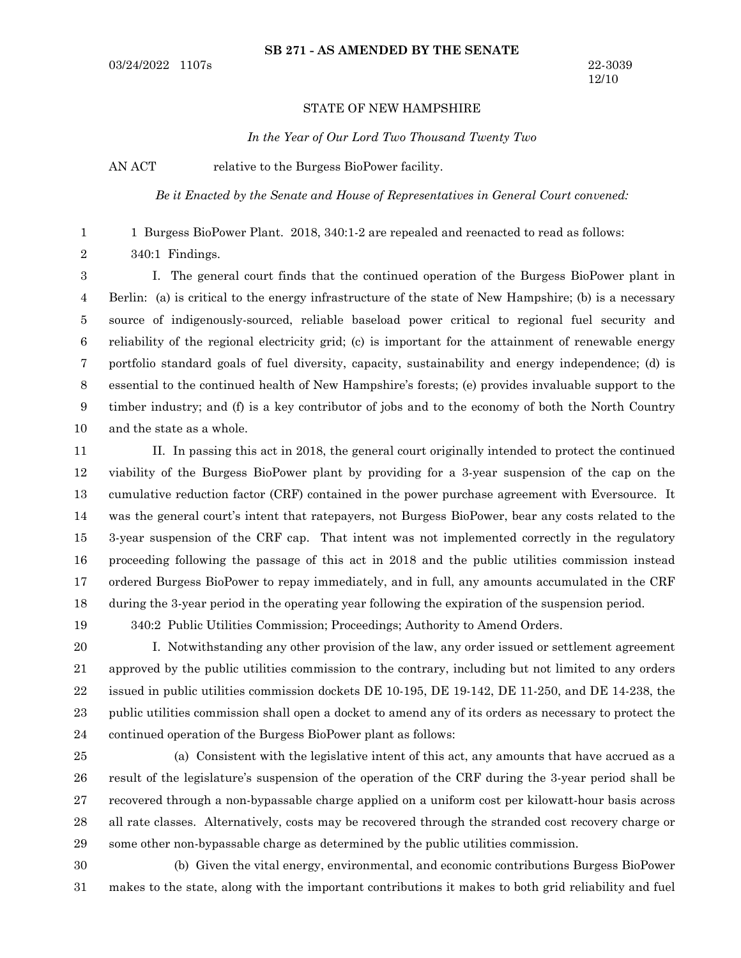### **SB 271 - AS AMENDED BY THE SENATE**

#### STATE OF NEW HAMPSHIRE

*In the Year of Our Lord Two Thousand Twenty Two*

AN ACT relative to the Burgess BioPower facility.

1 2 *Be it Enacted by the Senate and House of Representatives in General Court convened:*

1 Burgess BioPower Plant. 2018, 340:1-2 are repealed and reenacted to read as follows:

340:1 Findings.

I. The general court finds that the continued operation of the Burgess BioPower plant in Berlin: (a) is critical to the energy infrastructure of the state of New Hampshire; (b) is a necessary source of indigenously-sourced, reliable baseload power critical to regional fuel security and reliability of the regional electricity grid; (c) is important for the attainment of renewable energy portfolio standard goals of fuel diversity, capacity, sustainability and energy independence; (d) is essential to the continued health of New Hampshire's forests; (e) provides invaluable support to the timber industry; and (f) is a key contributor of jobs and to the economy of both the North Country and the state as a whole. 3 4 5 6 7 8 9 10

II. In passing this act in 2018, the general court originally intended to protect the continued viability of the Burgess BioPower plant by providing for a 3-year suspension of the cap on the cumulative reduction factor (CRF) contained in the power purchase agreement with Eversource. It was the general court's intent that ratepayers, not Burgess BioPower, bear any costs related to the 3-year suspension of the CRF cap. That intent was not implemented correctly in the regulatory proceeding following the passage of this act in 2018 and the public utilities commission instead ordered Burgess BioPower to repay immediately, and in full, any amounts accumulated in the CRF during the 3-year period in the operating year following the expiration of the suspension period. 11 12 13 14 15 16 17 18

19

340:2 Public Utilities Commission; Proceedings; Authority to Amend Orders.

I. Notwithstanding any other provision of the law, any order issued or settlement agreement approved by the public utilities commission to the contrary, including but not limited to any orders issued in public utilities commission dockets DE 10-195, DE 19-142, DE 11-250, and DE 14-238, the public utilities commission shall open a docket to amend any of its orders as necessary to protect the continued operation of the Burgess BioPower plant as follows: 20 21 22 23 24

(a) Consistent with the legislative intent of this act, any amounts that have accrued as a result of the legislature's suspension of the operation of the CRF during the 3-year period shall be recovered through a non-bypassable charge applied on a uniform cost per kilowatt-hour basis across all rate classes. Alternatively, costs may be recovered through the stranded cost recovery charge or some other non-bypassable charge as determined by the public utilities commission. 25 26 27 28 29

(b) Given the vital energy, environmental, and economic contributions Burgess BioPower makes to the state, along with the important contributions it makes to both grid reliability and fuel 30 31